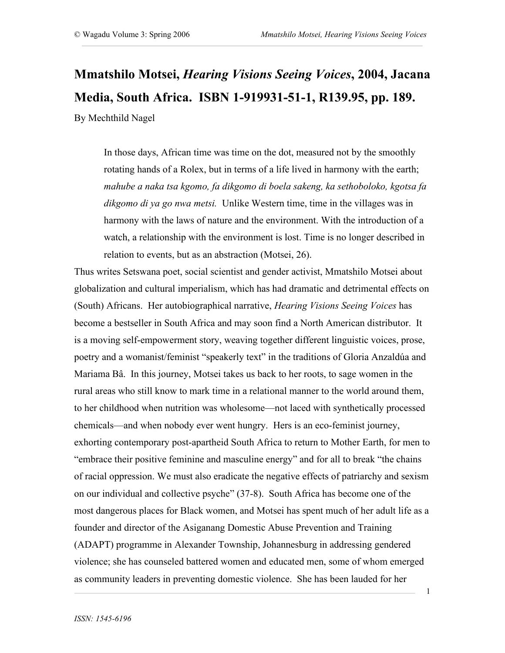## **Mmatshilo Motsei,** *Hearing Visions Seeing Voices***, 2004, Jacana Media, South Africa. ISBN 1-919931-51-1, R139.95, pp. 189.** By Mechthild Nagel

In those days, African time was time on the dot, measured not by the smoothly rotating hands of a Rolex, but in terms of a life lived in harmony with the earth; *mahube a naka tsa kgomo, fa dikgomo di boela sakeng, ka sethoboloko, kgotsa fa dikgomo di ya go nwa metsi.* Unlike Western time, time in the villages was in harmony with the laws of nature and the environment. With the introduction of a watch, a relationship with the environment is lost. Time is no longer described in relation to events, but as an abstraction (Motsei, 26).

Thus writes Setswana poet, social scientist and gender activist, Mmatshilo Motsei about globalization and cultural imperialism, which has had dramatic and detrimental effects on (South) Africans. Her autobiographical narrative, *Hearing Visions Seeing Voices* has become a bestseller in South Africa and may soon find a North American distributor. It is a moving self-empowerment story, weaving together different linguistic voices, prose, poetry and a womanist/feminist "speakerly text" in the traditions of Gloria Anzaldúa and Mariama Bâ. In this journey, Motsei takes us back to her roots, to sage women in the rural areas who still know to mark time in a relational manner to the world around them, to her childhood when nutrition was wholesome—not laced with synthetically processed chemicals—and when nobody ever went hungry. Hers is an eco-feminist journey, exhorting contemporary post-apartheid South Africa to return to Mother Earth, for men to "embrace their positive feminine and masculine energy" and for all to break "the chains of racial oppression. We must also eradicate the negative effects of patriarchy and sexism on our individual and collective psyche" (37-8). South Africa has become one of the most dangerous places for Black women, and Motsei has spent much of her adult life as a founder and director of the Asiganang Domestic Abuse Prevention and Training (ADAPT) programme in Alexander Township, Johannesburg in addressing gendered violence; she has counseled battered women and educated men, some of whom emerged as community leaders in preventing domestic violence. She has been lauded for her

1